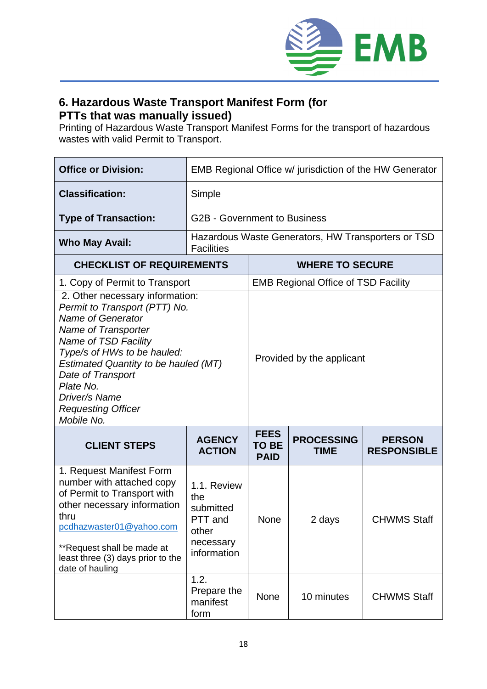

## **6. Hazardous Waste Transport Manifest Form (for PTTs that was manually issued)**

Printing of Hazardous Waste Transport Manifest Forms for the transport of hazardous wastes with valid Permit to Transport.

| <b>Office or Division:</b>                                                                                                                                                                                                                                                                                       | EMB Regional Office w/ jurisdiction of the HW Generator                         |                                            |                                  |                                     |  |
|------------------------------------------------------------------------------------------------------------------------------------------------------------------------------------------------------------------------------------------------------------------------------------------------------------------|---------------------------------------------------------------------------------|--------------------------------------------|----------------------------------|-------------------------------------|--|
| <b>Classification:</b>                                                                                                                                                                                                                                                                                           | Simple                                                                          |                                            |                                  |                                     |  |
| <b>Type of Transaction:</b>                                                                                                                                                                                                                                                                                      | <b>G2B - Government to Business</b>                                             |                                            |                                  |                                     |  |
| <b>Who May Avail:</b>                                                                                                                                                                                                                                                                                            | Hazardous Waste Generators, HW Transporters or TSD<br><b>Facilities</b>         |                                            |                                  |                                     |  |
| <b>CHECKLIST OF REQUIREMENTS</b>                                                                                                                                                                                                                                                                                 |                                                                                 | <b>WHERE TO SECURE</b>                     |                                  |                                     |  |
| 1. Copy of Permit to Transport                                                                                                                                                                                                                                                                                   |                                                                                 | <b>EMB Regional Office of TSD Facility</b> |                                  |                                     |  |
| 2. Other necessary information:<br>Permit to Transport (PTT) No.<br><b>Name of Generator</b><br>Name of Transporter<br>Name of TSD Facility<br>Type/s of HWs to be hauled:<br>Estimated Quantity to be hauled (MT)<br>Date of Transport<br>Plate No.<br>Driver/s Name<br><b>Requesting Officer</b><br>Mobile No. |                                                                                 | Provided by the applicant                  |                                  |                                     |  |
| <b>CLIENT STEPS</b>                                                                                                                                                                                                                                                                                              | <b>AGENCY</b><br><b>ACTION</b>                                                  | <b>FEES</b><br><b>TO BE</b><br><b>PAID</b> | <b>PROCESSING</b><br><b>TIME</b> | <b>PERSON</b><br><b>RESPONSIBLE</b> |  |
| 1. Request Manifest Form<br>number with attached copy<br>of Permit to Transport with<br>other necessary information<br>thru<br>pcdhazwaster01@yahoo.com<br>**Request shall be made at<br>least three (3) days prior to the<br>date of hauling                                                                    | 1.1. Review<br>the<br>submitted<br>PTT and<br>other<br>necessary<br>information | <b>None</b>                                | 2 days                           | <b>CHWMS Staff</b>                  |  |
|                                                                                                                                                                                                                                                                                                                  | 1.2.<br>Prepare the<br>manifest<br>form                                         | None                                       | 10 minutes                       | <b>CHWMS Staff</b>                  |  |